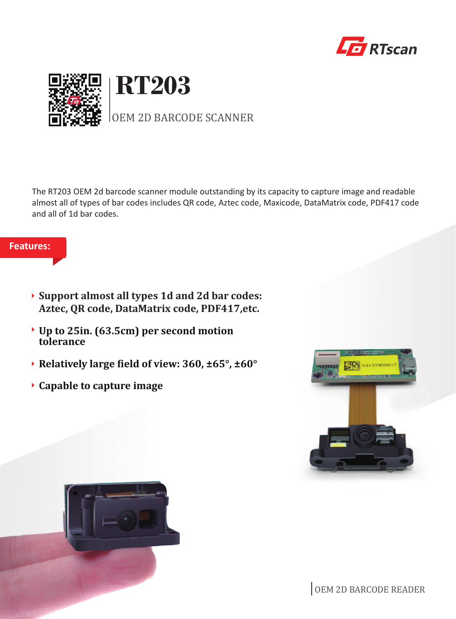



The RT203 OEM 2d barcode scanner module outstanding by its capacity to capture image and readable almost all of types of bar codes includes QR code, Aztec code, Maxicode, DataMatrix code, PDF417 code and all of 1d bar codes.

## **Features:**

- **Support almost all types 1d and 2d bar codes: Aztec, QR code, DataMatrix code, PDF417,etc.**
- **Up to 25in. (63.5cm) per second motion tolerance**
- **Relatively large �ield of view: 360, ±65°, ±60°**
- **Capable to capture image**